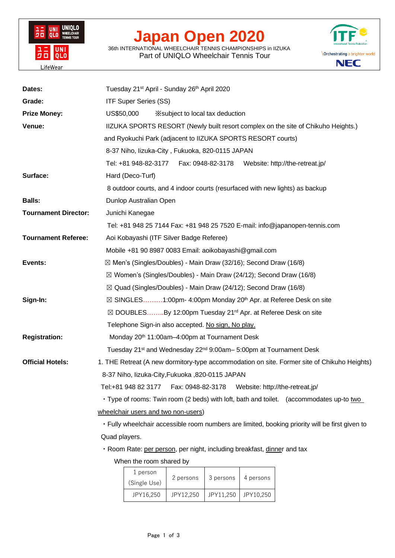

## **Japan Open 2020**

36th INTERNATIONAL WHEELCHAIR TENNIS CHAMPIONSHIPS in IIZUKA Part of UNIQLO Wheelchair Tennis Tour



| Dates:                      | Tuesday 21 <sup>st</sup> April - Sunday 26 <sup>th</sup> April 2020                             |
|-----------------------------|-------------------------------------------------------------------------------------------------|
| Grade:                      | <b>ITF Super Series (SS)</b>                                                                    |
| <b>Prize Money:</b>         | US\$50,000<br>X subject to local tax deduction                                                  |
| Venue:                      | IIZUKA SPORTS RESORT (Newly built resort complex on the site of Chikuho Heights.)               |
|                             | and Ryokuchi Park (adjacent to IIZUKA SPORTS RESORT courts)                                     |
|                             | 8-37 Niho, lizuka-City, Fukuoka, 820-0115 JAPAN                                                 |
|                             | Tel: +81 948-82-3177<br>Fax: 0948-82-3178 Website: http://the-retreat.jp/                       |
| Surface:                    | Hard (Deco-Turf)                                                                                |
|                             | 8 outdoor courts, and 4 indoor courts (resurfaced with new lights) as backup                    |
| <b>Balls:</b>               | Dunlop Australian Open                                                                          |
| <b>Tournament Director:</b> | Junichi Kanegae                                                                                 |
|                             | Tel: +81 948 25 7144 Fax: +81 948 25 7520 E-mail: info@japanopen-tennis.com                     |
| <b>Tournament Referee:</b>  | Aoi Kobayashi (ITF Silver Badge Referee)                                                        |
|                             | Mobile +81 90 8987 0083 Email: aoikobayashi@gmail.com                                           |
| Events:                     | ⊠ Men's (Singles/Doubles) - Main Draw (32/16); Second Draw (16/8)                               |
|                             | $\boxtimes$ Women's (Singles/Doubles) - Main Draw (24/12); Second Draw (16/8)                   |
|                             | $\boxtimes$ Quad (Singles/Doubles) - Main Draw (24/12); Second Draw (16/8)                      |
| Sign-In:                    | ⊠ SINGLES1:00pm- 4:00pm Monday 20 <sup>th</sup> Apr. at Referee Desk on site                    |
|                             | ⊠ DOUBLESBy 12:00pm Tuesday 21 <sup>rd</sup> Apr. at Referee Desk on site                       |
|                             | Telephone Sign-in also accepted. No sign, No play.                                              |
| <b>Registration:</b>        | Monday 20 <sup>th</sup> 11:00am-4:00pm at Tournament Desk                                       |
|                             | Tuesday 21 <sup>st</sup> and Wednesday 22 <sup>nd</sup> 9:00am - 5:00pm at Tournament Desk      |
| <b>Official Hotels:</b>     | 1. THE Retreat (A new dormitory-type accommodation on site. Former site of Chikuho Heights)     |
|                             | 8-37 Niho, Iizuka-City, Fukuoka, 820-0115 JAPAN                                                 |
|                             | Tel:+81 948 82 3177<br>Fax: 0948-82-3178<br>Website: http://the-retreat.jp/                     |
|                             | . Type of rooms: Twin room (2 beds) with loft, bath and toilet. (accommodates up-to two         |
|                             | wheelchair users and two non-users)                                                             |
|                             | · Fully wheelchair accessible room numbers are limited, booking priority will be first given to |
|                             | Quad players.                                                                                   |
|                             | · Room Rate: per person, per night, including breakfast, dinner and tax                         |
|                             | When the room shared by                                                                         |
|                             | 1 person<br>2 persons<br>3 persons 4 persons                                                    |

| 1 person     | 2 persons | 3 persons | 4 persons |
|--------------|-----------|-----------|-----------|
| (Single Use) |           |           |           |
| JPY16.250    | JPY12.250 | JPY11.250 | JPY10.250 |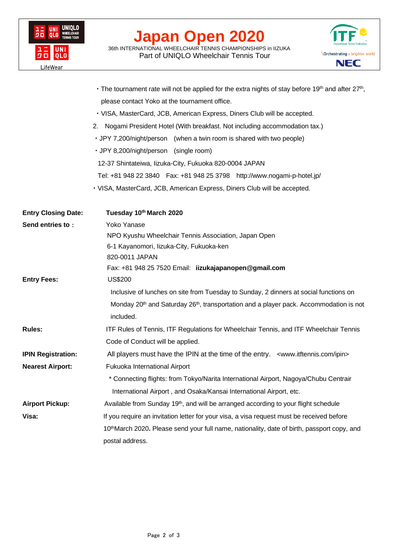

## **Japan Open 2020**

36th INTERNATIONAL WHEELCHAIR TENNIS CHAMPIONSHIPS in IIZUKA Part of UNIQLO Wheelchair Tennis Tour



|                            | The tournament rate will not be applied for the extra nights of stay before 19th and after 27th,               |
|----------------------------|----------------------------------------------------------------------------------------------------------------|
|                            | please contact Yoko at the tournament office.                                                                  |
|                            | · VISA, MasterCard, JCB, American Express, Diners Club will be accepted.                                       |
|                            | 2. Nogami President Hotel (With breakfast. Not including accommodation tax.)                                   |
|                            | • JPY 7,200/night/person (when a twin room is shared with two people)                                          |
|                            | · JPY 8,200/night/person (single room)                                                                         |
|                            | 12-37 Shintateiwa, Iizuka-City, Fukuoka 820-0004 JAPAN                                                         |
|                            | Tel: +81 948 22 3840  Fax: +81 948 25 3798  http://www.nogami-p-hotel.jp/                                      |
|                            | · VISA, MasterCard, JCB, American Express, Diners Club will be accepted.                                       |
| <b>Entry Closing Date:</b> | Tuesday 10th March 2020                                                                                        |
| Send entries to:           | Yoko Yanase                                                                                                    |
|                            | NPO Kyushu Wheelchair Tennis Association, Japan Open                                                           |
|                            | 6-1 Kayanomori, Iizuka-City, Fukuoka-ken                                                                       |
|                            | 820-0011 JAPAN                                                                                                 |
|                            | Fax: +81 948 25 7520 Email: iizukajapanopen@gmail.com                                                          |
| <b>Entry Fees:</b>         | US\$200                                                                                                        |
|                            | Inclusive of lunches on site from Tuesday to Sunday, 2 dinners at social functions on                          |
|                            | Monday 20 <sup>th</sup> and Saturday 26 <sup>th</sup> , transportation and a player pack. Accommodation is not |
|                            | included.                                                                                                      |
| <b>Rules:</b>              | <b>ITF Rules of Tennis, ITF Regulations for Wheelchair Tennis, and ITF Wheelchair Tennis</b>                   |
|                            | Code of Conduct will be applied.                                                                               |
| <b>IPIN Registration:</b>  | All players must have the IPIN at the time of the entry. <www.itftennis.com ipin=""></www.itftennis.com>       |
| <b>Nearest Airport:</b>    | Fukuoka International Airport                                                                                  |
|                            | * Connecting flights: from Tokyo/Narita International Airport, Nagoya/Chubu Centrair                           |
|                            | International Airport, and Osaka/Kansai International Airport, etc.                                            |
| <b>Airport Pickup:</b>     | Available from Sunday 19 <sup>th</sup> , and will be arranged according to your flight schedule                |
| Visa:                      | If you require an invitation letter for your visa, a visa request must be received before                      |
|                            | 10 <sup>th</sup> March 2020. Please send your full name, nationality, date of birth, passport copy, and        |
|                            | postal address.                                                                                                |